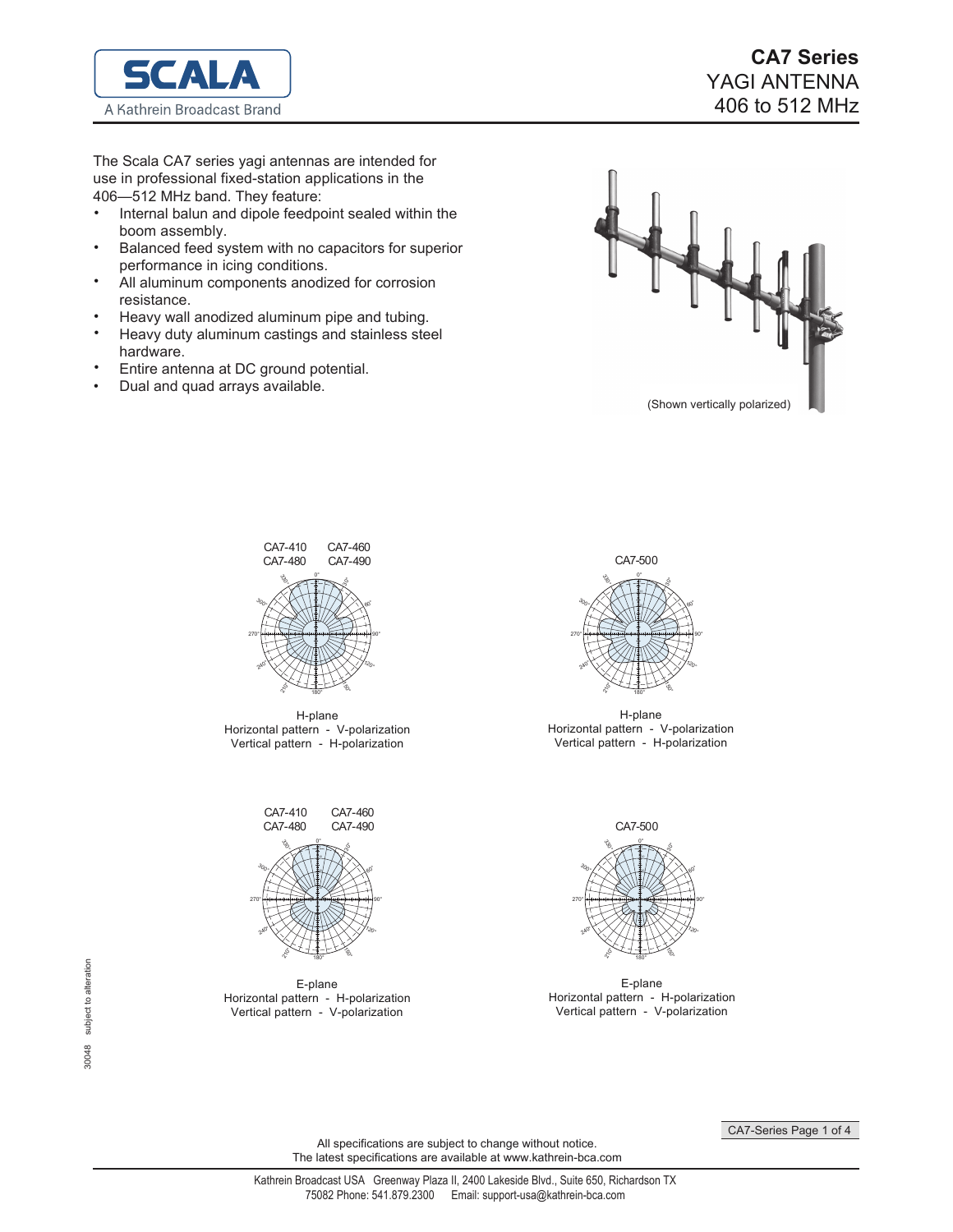

The Scala CA7 series yagi antennas are intended for use in professional fixed-station applications in the 406-512 MHz band. They feature:

- Internal balun and dipole feedpoint sealed within the boom assembly. •
- Balanced feed system with no capacitors for superior performance in icing conditions. •
- All aluminum components anodized for corrosion resistance. •
- Heavy wall anodized aluminum pipe and tubing. •
- Heavy duty aluminum castings and stainless steel hardware. •
- Entire antenna at DC ground potential. •
- Dual and quad arrays available. •





H-plane Horizontal pattern - V-polarization Vertical pattern - H-polarization



E-plane Horizontal pattern - H-polarization Vertical pattern - V-polarization



H-plane Horizontal pattern - V-polarization Vertical pattern - H-polarization



E-plane Horizontal pattern - H-polarization Vertical pattern - V-polarization

CA7-Series Page 1 of 4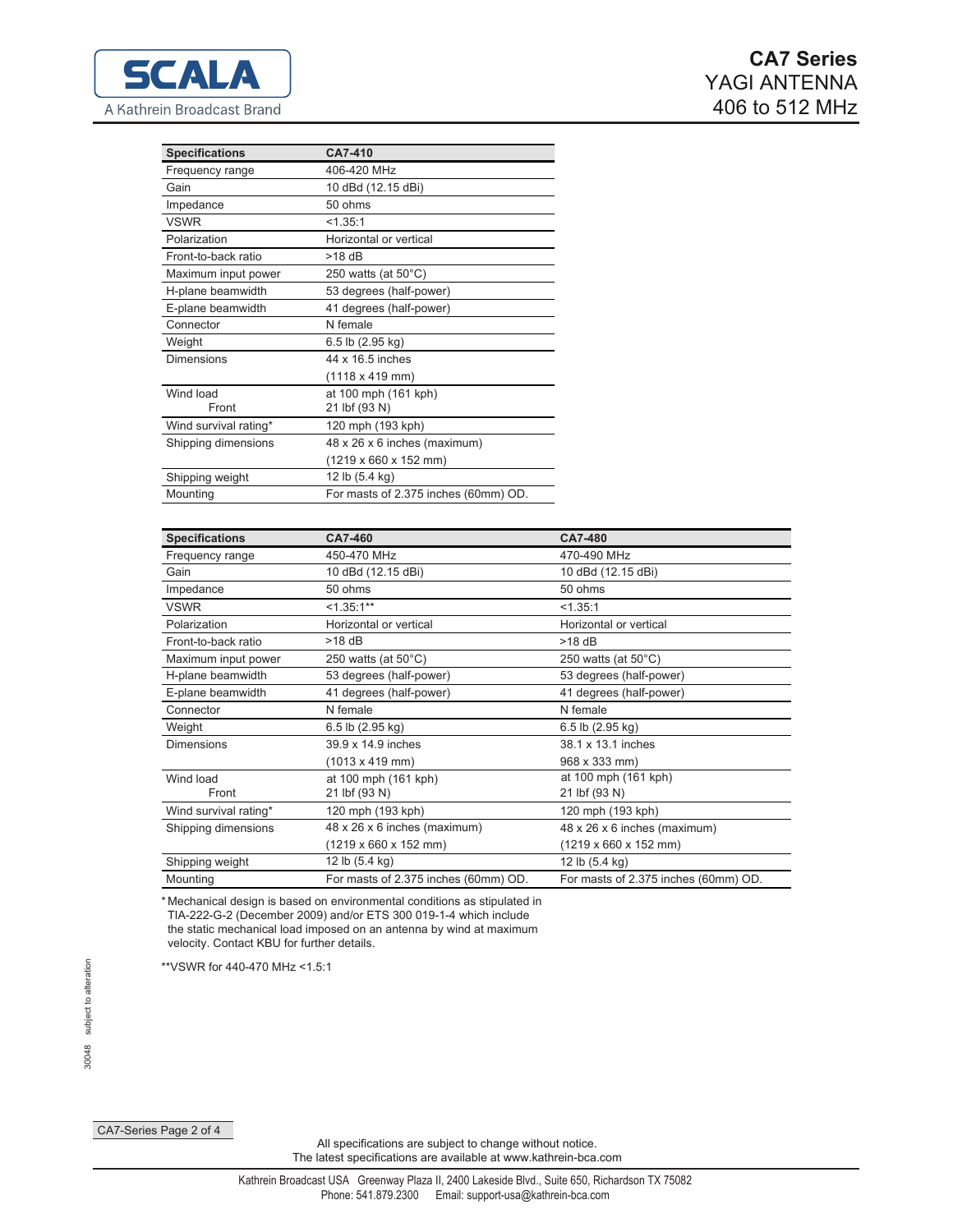| <b>Specifications</b> | CA7-410                                   |
|-----------------------|-------------------------------------------|
| Frequency range       | 406-420 MHz                               |
| Gain                  | 10 dBd (12.15 dBi)                        |
| Impedance             | 50 ohms                                   |
| <b>VSWR</b>           | < 1.35:1                                  |
| Polarization          | Horizontal or vertical                    |
| Front-to-back ratio   | $>18$ dB                                  |
| Maximum input power   | 250 watts (at $50^{\circ}$ C)             |
| H-plane beamwidth     | 53 degrees (half-power)                   |
| E-plane beamwidth     | 41 degrees (half-power)                   |
| Connector             | N female                                  |
| Weight                | 6.5 lb (2.95 kg)                          |
| Dimensions            | 44 x 16.5 inches                          |
|                       | (1118 x 419 mm)                           |
| Wind load             | at 100 mph (161 kph)                      |
| Front                 | 21 lbf (93 N)                             |
| Wind survival rating* | 120 mph (193 kph)                         |
| Shipping dimensions   | 48 x 26 x 6 inches (maximum)              |
|                       | $(1219 \times 660 \times 152 \text{ mm})$ |
| Shipping weight       | 12 lb (5.4 kg)                            |
| Mounting              | For masts of 2.375 inches (60mm) OD.      |

| <b>Specifications</b> | CA7-460                              | <b>CA7-480</b>                       |
|-----------------------|--------------------------------------|--------------------------------------|
| Frequency range       | 450-470 MHz                          | 470-490 MHz                          |
| Gain                  | 10 dBd (12.15 dBi)                   | 10 dBd (12.15 dBi)                   |
| Impedance             | 50 ohms                              | 50 ohms                              |
| <b>VSWR</b>           | $<1.35:1**$                          | < 1.35:1                             |
| Polarization          | Horizontal or vertical               | Horizontal or vertical               |
| Front-to-back ratio   | $>18$ dB                             | $>18$ dB                             |
| Maximum input power   | 250 watts (at $50^{\circ}$ C)        | 250 watts (at $50^{\circ}$ C)        |
| H-plane beamwidth     | 53 degrees (half-power)              | 53 degrees (half-power)              |
| E-plane beamwidth     | 41 degrees (half-power)              | 41 degrees (half-power)              |
| Connector             | N female                             | N female                             |
| Weight                | 6.5 lb (2.95 kg)                     | 6.5 lb (2.95 kg)                     |
| <b>Dimensions</b>     | 39.9 x 14.9 inches                   | 38.1 x 13.1 inches                   |
|                       | $(1013 \times 419 \text{ mm})$       | 968 x 333 mm)                        |
| Wind load             | at 100 mph (161 kph)                 | at 100 mph (161 kph)                 |
| Front                 | 21 lbf (93 N)                        | 21 lbf (93 N)                        |
| Wind survival rating* | 120 mph (193 kph)                    | 120 mph (193 kph)                    |
| Shipping dimensions   | 48 x 26 x 6 inches (maximum)         | 48 x 26 x 6 inches (maximum)         |
|                       | (1219 x 660 x 152 mm)                | (1219 x 660 x 152 mm)                |
| Shipping weight       | 12 lb (5.4 kg)                       | 12 lb (5.4 kg)                       |
| Mounting              | For masts of 2.375 inches (60mm) OD. | For masts of 2.375 inches (60mm) OD. |

\* Mechanical design is based on environmental conditions as stipulated in TIA-222-G-2 (December 2009) and/or ETS 300 019-1-4 which include the static mechanical load imposed on an antenna by wind at maximum velocity. Contact KBU for further details.

\*\* VSWR for 440-470 MHz <1.5:1

CA7-Series Page 2 of 4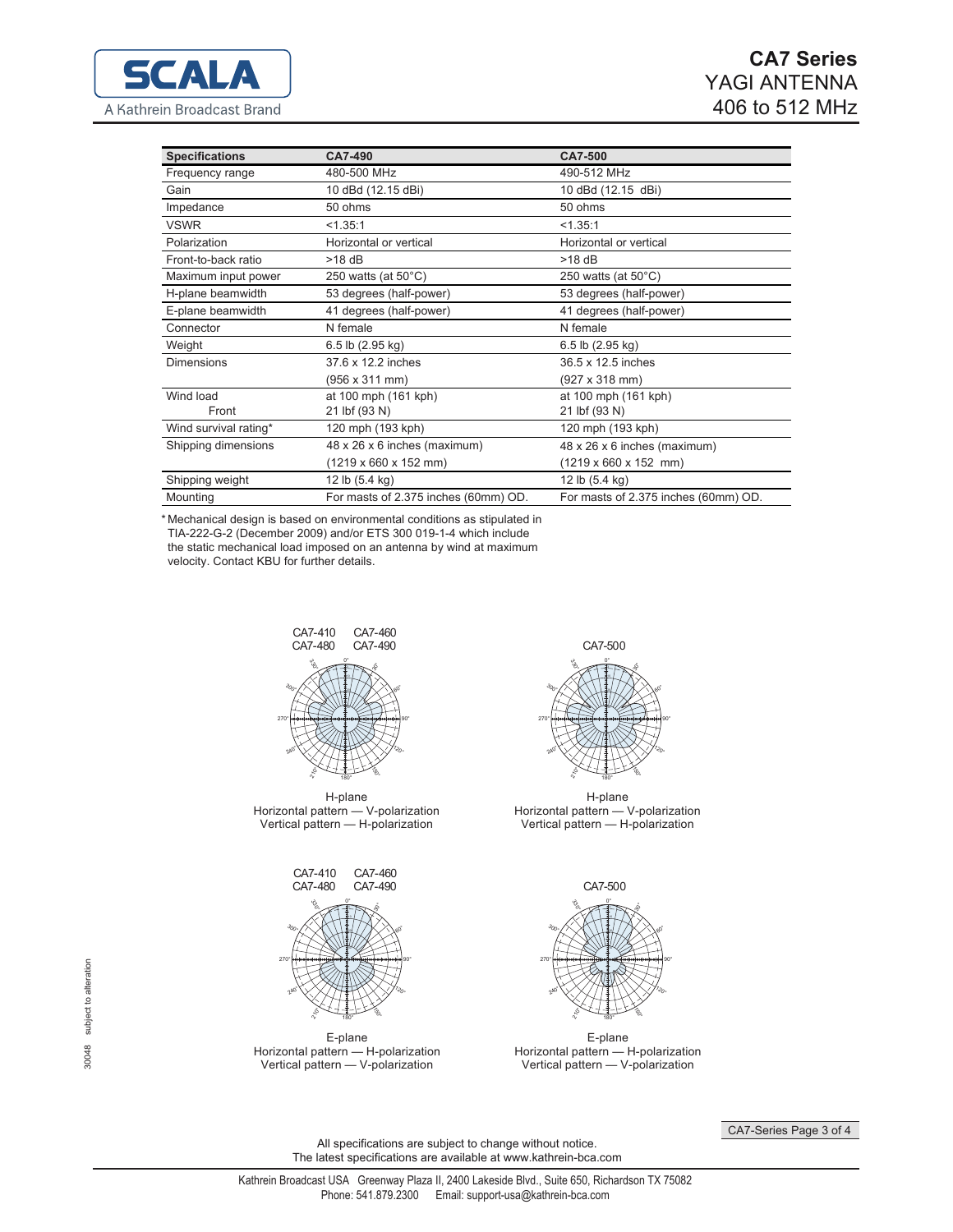| <b>Specifications</b> | CA7-490                              | <b>CA7-500</b>                       |
|-----------------------|--------------------------------------|--------------------------------------|
| Frequency range       | 480-500 MHz                          | 490-512 MHz                          |
| Gain                  | 10 dBd (12.15 dBi)                   | 10 dBd (12.15 dBi)                   |
| Impedance             | 50 ohms                              | 50 ohms                              |
| <b>VSWR</b>           | < 1.35:1                             | < 1.35:1                             |
| Polarization          | Horizontal or vertical               | Horizontal or vertical               |
| Front-to-back ratio   | $>18$ dB                             | $>18$ dB                             |
| Maximum input power   | 250 watts (at $50^{\circ}$ C)        | 250 watts (at $50^{\circ}$ C)        |
| H-plane beamwidth     | 53 degrees (half-power)              | 53 degrees (half-power)              |
| E-plane beamwidth     | 41 degrees (half-power)              | 41 degrees (half-power)              |
| Connector             | N female                             | N female                             |
| Weight                | 6.5 lb (2.95 kg)                     | 6.5 lb $(2.95 \text{ kg})$           |
| <b>Dimensions</b>     | 37.6 x 12.2 inches                   | 36.5 x 12.5 inches                   |
|                       | (956 x 311 mm)                       | (927 x 318 mm)                       |
| Wind load             | at 100 mph (161 kph)                 | at 100 mph (161 kph)                 |
| Front                 | 21 lbf (93 N)                        | 21 lbf (93 N)                        |
| Wind survival rating* | 120 mph (193 kph)                    | 120 mph (193 kph)                    |
| Shipping dimensions   | 48 x 26 x 6 inches (maximum)         | 48 x 26 x 6 inches (maximum)         |
|                       | (1219 x 660 x 152 mm)                | $(1219 \times 660 \times 152$ mm)    |
| Shipping weight       | 12 lb (5.4 kg)                       | 12 lb (5.4 kg)                       |
| Mounting              | For masts of 2.375 inches (60mm) OD. | For masts of 2.375 inches (60mm) OD. |

\*Mechanical design is based on environmental conditions as stipulated in TIA-222-G-2 (December 2009) and/or ETS 300 019-1-4 which include the static mechanical load imposed on an antenna by wind at maximum velocity. Contact KBU for further details.



H-plane Horizontal pattern - V-polarization<br>Vertical pattern - H-polarization



E-plane Horizontal pattern - H-polarization<br>Vertical pattern - V-polarization



H-plane Horizontal pattern - V-polarization<br>Vertical pattern - H-polarization



E-plane Horizontal pattern — H-polarization<br>Vertical pattern — V-polarization

CA7-Series Page 3 of 4